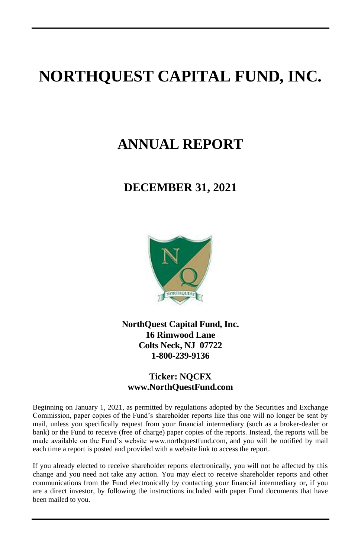## **ANNUAL REPORT**

## **DECEMBER 31, 2021**



**NorthQuest Capital Fund, Inc. 16 Rimwood Lane Colts Neck, NJ 07722 1-800-239-9136**

### **Ticker: NQCFX www.NorthQuestFund.com**

Beginning on January 1, 2021, as permitted by regulations adopted by the Securities and Exchange Commission, paper copies of the Fund's shareholder reports like this one will no longer be sent by mail, unless you specifically request from your financial intermediary (such as a broker-dealer or bank) or the Fund to receive (free of charge) paper copies of the reports. Instead, the reports will be made available on the Fund's website www.northquestfund.com, and you will be notified by mail each time a report is posted and provided with a website link to access the report.

If you already elected to receive shareholder reports electronically, you will not be affected by this change and you need not take any action. You may elect to receive shareholder reports and other communications from the Fund electronically by contacting your financial intermediary or, if you are a direct investor, by following the instructions included with paper Fund documents that have been mailed to you.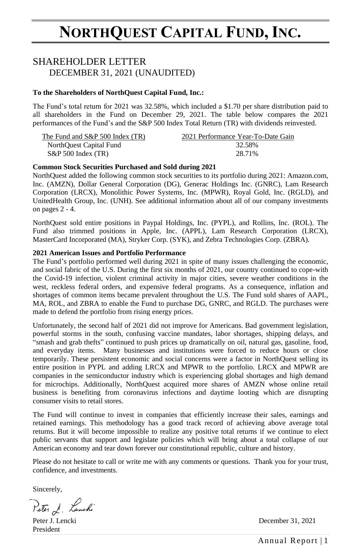### SHAREHOLDER LETTER DECEMBER 31, 2021 (UNAUDITED)

#### **To the Shareholders of NorthQuest Capital Fund, Inc.:**

The Fund's total return for 2021 was 32.58%, which included a \$1.70 per share distribution paid to all shareholders in the Fund on December 29, 2021. The table below compares the 2021 performances of the Fund's and the S&P 500 Index Total Return (TR) with dividends reinvested.

| 2021 Performance Year-To-Date Gain |
|------------------------------------|
| 32.58%                             |
| 28.71%                             |
|                                    |

#### **Common Stock Securities Purchased and Sold during 2021**

NorthQuest added the following common stock securities to its portfolio during 2021: Amazon.com, Inc. (AMZN), Dollar General Corporation (DG), Generac Holdings Inc. (GNRC), Lam Research Corporation (LRCX), Monolithic Power Systems, Inc. (MPWR), Royal Gold, Inc. (RGLD), and UnitedHealth Group, Inc. (UNH). See additional information about all of our company investments on pages 2 - 4.

NorthQuest sold entire positions in Paypal Holdings, Inc. (PYPL), and Rollins, Inc. (ROL). The Fund also trimmed positions in Apple, Inc. (APPL), Lam Research Corporation (LRCX), MasterCard Incorporated (MA), Stryker Corp. (SYK), and Zebra Technologies Corp. (ZBRA).

#### **2021 American Issues and Portfolio Performance**

The Fund's portfolio performed well during 2021 in spite of many issues challenging the economic, and social fabric of the U.S. During the first six months of 2021, our country continued to cope-with the Covid-19 infection, violent criminal activity in major cities, severe weather conditions in the west, reckless federal orders, and expensive federal programs. As a consequence, inflation and shortages of common items became prevalent throughout the U.S. The Fund sold shares of AAPL, MA, ROL, and ZBRA to enable the Fund to purchase DG, GNRC, and RGLD. The purchases were made to defend the portfolio from rising energy prices.

Unfortunately, the second half of 2021 did not improve for Americans. Bad government legislation, powerful storms in the south, confusing vaccine mandates, labor shortages, shipping delays, and "smash and grab thefts" continued to push prices up dramatically on oil, natural gas, gasoline, food, and everyday items. Many businesses and institutions were forced to reduce hours or close temporarily. These persistent economic and social concerns were a factor in NorthQuest selling its entire position in PYPL and adding LRCX and MPWR to the portfolio. LRCX and MPWR are companies in the semiconductor industry which is experiencing global shortages and high demand for microchips. Additionally, NorthQuest acquired more shares of AMZN whose online retail business is benefiting from coronavirus infections and daytime looting which are disrupting consumer visits to retail stores.

The Fund will continue to invest in companies that efficiently increase their sales, earnings and retained earnings. This methodology has a good track record of achieving above average total returns. But it will become impossible to realize any positive total returns if we continue to elect public servants that support and legislate policies which will bring about a total collapse of our American economy and tear down forever our constitutional republic, culture and history.

Please do not hesitate to call or write me with any comments or questions. Thank you for your trust, confidence, and investments.

Sincerely,

Peter I. Lenchi

President

Peter J. Lencki December 31, 2021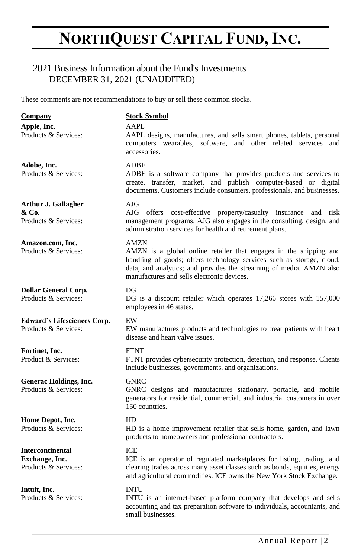### 2021 Business Information about the Fund's Investments DECEMBER 31, 2021 (UNAUDITED)

These comments are not recommendations to buy or sell these common stocks.

| Company                                                    | <b>Stock Symbol</b>                                                                                                                                                                                                                                                            |
|------------------------------------------------------------|--------------------------------------------------------------------------------------------------------------------------------------------------------------------------------------------------------------------------------------------------------------------------------|
| Apple, Inc.<br>Products & Services:                        | AAPL<br>AAPL designs, manufactures, and sells smart phones, tablets, personal<br>computers wearables, software, and other related services and<br>accessories.                                                                                                                 |
| Adobe, Inc.<br>Products & Services:                        | <b>ADBE</b><br>ADBE is a software company that provides products and services to<br>create, transfer, market, and publish computer-based or digital<br>documents. Customers include consumers, professionals, and businesses.                                                  |
| Arthur J. Gallagher<br>& Co.<br>Products & Services:       | AJG<br>AJG offers cost-effective property/casualty insurance and risk<br>management programs. AJG also engages in the consulting, design, and<br>administration services for health and retirement plans.                                                                      |
| Amazon.com, Inc.<br>Products & Services:                   | <b>AMZN</b><br>AMZN is a global online retailer that engages in the shipping and<br>handling of goods; offers technology services such as storage, cloud,<br>data, and analytics; and provides the streaming of media. AMZN also<br>manufactures and sells electronic devices. |
| <b>Dollar General Corp.</b><br>Products & Services:        | DG<br>DG is a discount retailer which operates 17,266 stores with 157,000<br>employees in 46 states.                                                                                                                                                                           |
| <b>Edward's Lifesciences Corp.</b><br>Products & Services: | EW<br>EW manufactures products and technologies to treat patients with heart<br>disease and heart valve issues.                                                                                                                                                                |
| Fortinet, Inc.<br>Product & Services:                      | <b>FTNT</b><br>FTNT provides cybersecurity protection, detection, and response. Clients<br>include businesses, governments, and organizations.                                                                                                                                 |
| Generac Holdings, Inc.<br>Products & Services:             | <b>GNRC</b><br>GNRC designs and manufactures stationary, portable, and mobile<br>generators for residential, commercial, and industrial customers in over<br>150 countries.                                                                                                    |
| Home Depot, Inc.<br>Products & Services:                   | HD<br>HD is a home improvement retailer that sells home, garden, and lawn<br>products to homeowners and professional contractors.                                                                                                                                              |
| Intercontinental<br>Exchange, Inc.<br>Products & Services: | ICE<br>ICE is an operator of regulated marketplaces for listing, trading, and<br>clearing trades across many asset classes such as bonds, equities, energy<br>and agricultural commodities. ICE owns the New York Stock Exchange.                                              |
| Intuit, Inc.<br>Products & Services:                       | <b>INTU</b><br>INTU is an internet-based platform company that develops and sells<br>accounting and tax preparation software to individuals, accountants, and                                                                                                                  |

small businesses.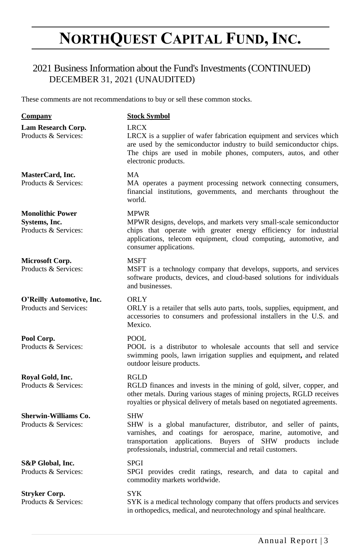## 2021 Business Information about the Fund's Investments(CONTINUED) DECEMBER 31, 2021 (UNAUDITED)

These comments are not recommendations to buy or sell these common stocks.

### **Company Stock Symbol Lam Research Corp.** LRCX Products & Services: LRCX is a supplier of wafer fabrication equipment and services which are used by the semiconductor industry to build semiconductor chips. The chips are used in mobile phones, computers, autos, and other electronic products. **MasterCard, Inc.** MA<br>Products & Services: MA MA operates a payment processing network connecting consumers, financial institutions, governments, and merchants throughout the world. **Monolithic Power** MPWR **Systems, Inc.** MPWR designs, develops, and markets very small-scale semiconductor chips that operate with greater energy efficiency for industrial applications, telecom equipment, cloud computing, automotive, and consumer applications. Products & Services: **Microsoft Corp.** MSFT Products & Services: MSFT is a technology company that develops, supports, and services software products, devices, and cloud-based solutions for individuals and businesses. **O'Reilly Automotive, Inc.** ORLY Products and Services: ORLY is a retailer that sells auto parts, tools, supplies, equipment, and accessories to consumers and professional installers in the U.S. and Mexico. **Pool Corp.** POOL<br>Products & Services: POOL POOL is a distributor to wholesale accounts that sell and service swimming pools, lawn irrigation supplies and equipment**,** and related outdoor leisure products. **Royal Gold, Inc.** RGLD<br>Products & Services: RGLD RGLD finances and invests in the mining of gold, silver, copper, and other metals. During various stages of mining projects, RGLD receives royalties or physical delivery of metals based on negotiated agreements. **Sherwin-Williams Co.** SHW Products & Services: SHW is a global manufacturer, distributor, and seller of paints, varnishes, and coatings for aerospace, marine, automotive, and transportation applications. Buyers of SHW products include professionals, industrial, commercial and retail customers. **S&P Global, Inc.** SPGI Products & Services: SPGI provides credit ratings, research, and data to capital and commodity markets worldwide. **Stryker Corp.** SYK Products & Services: SYK is a medical technology company that offers products and services

in orthopedics, medical, and neurotechnology and spinal healthcare.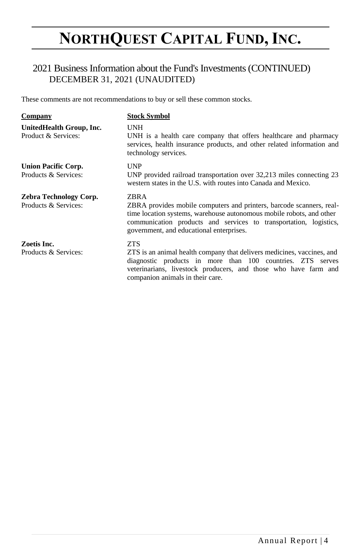## 2021 Business Information about the Fund's Investments(CONTINUED) DECEMBER 31, 2021 (UNAUDITED)

These comments are not recommendations to buy or sell these common stocks.

| <b>Company</b>                                        | <b>Stock Symbol</b>                                                                                                                                                                                                                                                   |
|-------------------------------------------------------|-----------------------------------------------------------------------------------------------------------------------------------------------------------------------------------------------------------------------------------------------------------------------|
| UnitedHealth Group, Inc.<br>Product & Services:       | UNH<br>UNH is a health care company that offers healthcare and pharmacy<br>services, health insurance products, and other related information and<br>technology services.                                                                                             |
| <b>Union Pacific Corp.</b>                            | <b>UNP</b>                                                                                                                                                                                                                                                            |
| Products & Services:                                  | UNP provided railroad transportation over 32,213 miles connecting 23<br>western states in the U.S. with routes into Canada and Mexico.                                                                                                                                |
| <b>Zebra Technology Corp.</b><br>Products & Services: | ZBRA<br>ZBRA provides mobile computers and printers, barcode scanners, real-<br>time location systems, warehouse autonomous mobile robots, and other<br>communication products and services to transportation, logistics,<br>government, and educational enterprises. |
| Zoetis Inc.                                           | <b>ZTS</b>                                                                                                                                                                                                                                                            |
| Products & Services:                                  | ZTS is an animal health company that delivers medicines, vaccines, and<br>diagnostic products in more than 100 countries. ZTS serves<br>veterinarians, livestock producers, and those who have farm and<br>companion animals in their care.                           |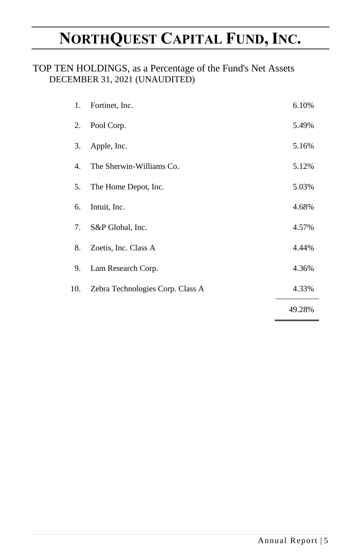## TOP TEN HOLDINGS, as a Percentage of the Fund's Net Assets DECEMBER 31, 2021 (UNAUDITED)

| 1.  | Fortinet, Inc.                   | 6.10%  |
|-----|----------------------------------|--------|
| 2.  | Pool Corp.                       | 5.49%  |
| 3.  | Apple, Inc.                      | 5.16%  |
| 4.  | The Sherwin-Williams Co.         | 5.12%  |
| 5.  | The Home Depot, Inc.             | 5.03%  |
| 6.  | Intuit, Inc.                     | 4.68%  |
| 7.  | S&P Global, Inc.                 | 4.57%  |
| 8.  | Zoetis, Inc. Class A             | 4.44%  |
| 9.  | Lam Research Corp.               | 4.36%  |
| 10. | Zebra Technologies Corp. Class A | 4.33%  |
|     |                                  | 49.28% |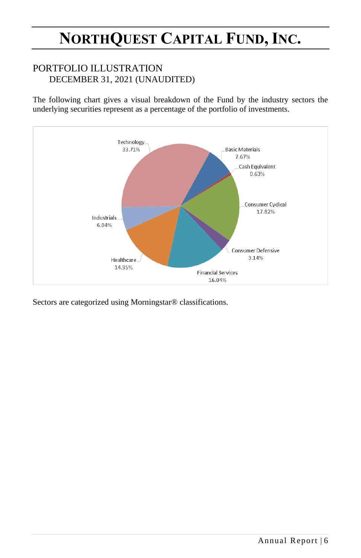## PORTFOLIO ILLUSTRATION DECEMBER 31, 2021 (UNAUDITED)

The following chart gives a visual breakdown of the Fund by the industry sectors the underlying securities represent as a percentage of the portfolio of investments.



Sectors are categorized using Morningstar® classifications.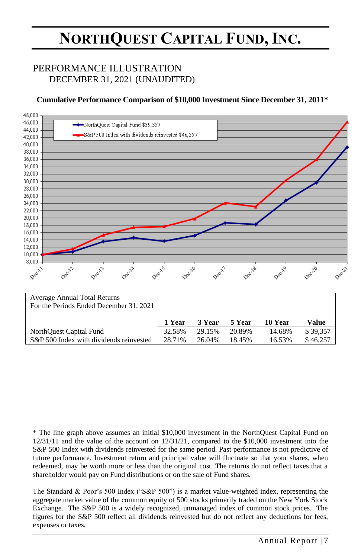## PERFORMANCE ILLUSTRATION DECEMBER 31, 2021 (UNAUDITED)

### **Cumulative Performance Comparison of \$10,000 Investment Since December 31, 2011\***



Average Annual Total Returns For the Periods Ended December 31, 2021 **1 Year 3 Year 5 Year 10 Year Value** NorthQuest Capital Fund 32.58% 29.15% 20.89% 14.68% \$ 39,357 S&P 500 Index with dividends reinvested 28.71% 26.04% 18.45% 16.53% \$ 46,257

\* The line graph above assumes an initial \$10,000 investment in the NorthQuest Capital Fund on  $12/31/11$  and the value of the account on  $12/31/21$ , compared to the \$10,000 investment into the S&P 500 Index with dividends reinvested for the same period. Past performance is not predictive of future performance. Investment return and principal value will fluctuate so that your shares, when redeemed, may be worth more or less than the original cost. The returns do not reflect taxes that a shareholder would pay on Fund distributions or on the sale of Fund shares.

The Standard & Poor's 500 Index ("S&P 500") is a market value-weighted index, representing the aggregate market value of the common equity of 500 stocks primarily traded on the New York Stock Exchange. The S&P 500 is a widely recognized, unmanaged index of common stock prices. The figures for the S&P 500 reflect all dividends reinvested but do not reflect any deductions for fees, expenses or taxes.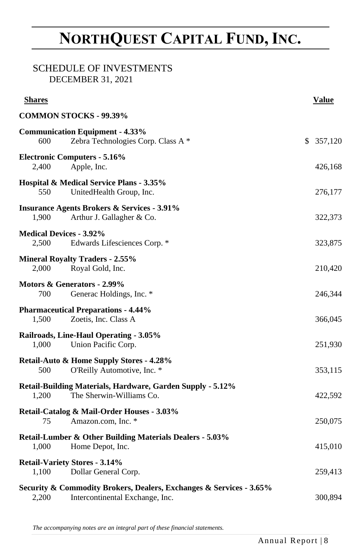### SCHEDULE OF INVESTMENTS DECEMBER 31, 2021

| <b>Shares</b>                                                                                                   | <b>Value</b> |
|-----------------------------------------------------------------------------------------------------------------|--------------|
| <b>COMMON STOCKS - 99.39%</b>                                                                                   |              |
| <b>Communication Equipment - 4.33%</b><br>600<br>Zebra Technologies Corp. Class A *                             | \$357,120    |
| <b>Electronic Computers - 5.16%</b><br>2,400<br>Apple, Inc.                                                     | 426,168      |
| Hospital & Medical Service Plans - 3.35%<br>550<br>UnitedHealth Group, Inc.                                     | 276,177      |
| <b>Insurance Agents Brokers &amp; Services - 3.91%</b><br>1,900<br>Arthur J. Gallagher & Co.                    | 322,373      |
| <b>Medical Devices - 3.92%</b><br>2,500<br>Edwards Lifesciences Corp. *                                         | 323,875      |
| <b>Mineral Royalty Traders - 2.55%</b><br>Royal Gold, Inc.<br>2,000                                             | 210,420      |
| Motors & Generators - 2.99%<br>700<br>Generac Holdings, Inc. *                                                  | 246,344      |
| <b>Pharmaceutical Preparations - 4.44%</b><br>Zoetis, Inc. Class A<br>1,500                                     | 366,045      |
| Railroads, Line-Haul Operating - 3.05%<br>Union Pacific Corp.<br>1,000                                          | 251,930      |
| Retail-Auto & Home Supply Stores - 4.28%<br>O'Reilly Automotive, Inc. *<br>500                                  | 353,115      |
| Retail-Building Materials, Hardware, Garden Supply - 5.12%<br>The Sherwin-Williams Co.<br>1,200                 | 422,592      |
| Retail-Catalog & Mail-Order Houses - 3.03%<br>75<br>Amazon.com, Inc. *                                          | 250,075      |
| <b>Retail-Lumber &amp; Other Building Materials Dealers - 5.03%</b><br>1,000<br>Home Depot, Inc.                | 415,010      |
| <b>Retail-Variety Stores - 3.14%</b><br>Dollar General Corp.<br>1,100                                           | 259,413      |
| Security & Commodity Brokers, Dealers, Exchanges & Services - 3.65%<br>Intercontinental Exchange, Inc.<br>2,200 | 300,894      |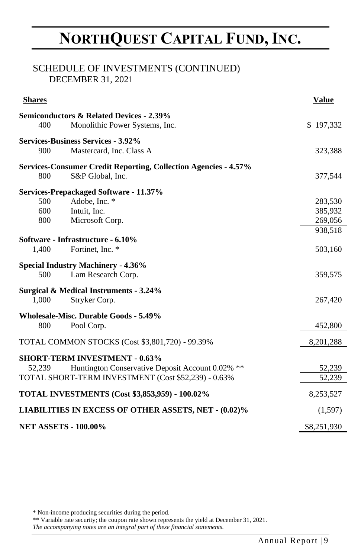## SCHEDULE OF INVESTMENTS (CONTINUED) DECEMBER 31, 2021

| <b>Shares</b> |                                                                        | <b>Value</b> |
|---------------|------------------------------------------------------------------------|--------------|
|               | <b>Semiconductors &amp; Related Devices - 2.39%</b>                    |              |
| 400           | Monolithic Power Systems, Inc.                                         | \$197,332    |
|               | <b>Services-Business Services - 3.92%</b>                              |              |
| 900           | Mastercard, Inc. Class A                                               | 323,388      |
|               | <b>Services-Consumer Credit Reporting, Collection Agencies - 4.57%</b> |              |
| 800           | S&P Global, Inc.                                                       | 377,544      |
|               | Services-Prepackaged Software - 11.37%                                 |              |
| 500           | Adobe, Inc. *                                                          | 283,530      |
| 600           | Intuit, Inc.                                                           | 385,932      |
| 800           | Microsoft Corp.                                                        | 269,056      |
|               |                                                                        | 938,518      |
|               | Software - Infrastructure - 6.10%                                      |              |
| 1.400         | Fortinet, Inc. *                                                       | 503,160      |
|               |                                                                        |              |
|               | <b>Special Industry Machinery - 4.36%</b>                              |              |
| 500           | Lam Research Corp.                                                     | 359,575      |
|               | Surgical & Medical Instruments - 3.24%                                 |              |
| 1.000         | Stryker Corp.                                                          | 267,420      |
|               |                                                                        |              |
|               | Wholesale-Misc. Durable Goods - 5.49%                                  |              |
| 800           | Pool Corp.                                                             | 452,800      |
|               | TOTAL COMMON STOCKS (Cost \$3,801,720) - 99.39%                        | 8,201,288    |
|               | <b>SHORT-TERM INVESTMENT - 0.63%</b>                                   |              |
| 52.239        | Huntington Conservative Deposit Account 0.02% **                       | 52,239       |
|               | TOTAL SHORT-TERM INVESTMENT (Cost \$52,239) - 0.63%                    | 52,239       |
|               |                                                                        |              |
|               | <b>TOTAL INVESTMENTS (Cost \$3,853,959) - 100.02%</b>                  | 8,253,527    |
|               | LIABILITIES IN EXCESS OF OTHER ASSETS, NET - (0.02)%                   | (1,597)      |
|               | <b>NET ASSETS - 100.00%</b>                                            | \$8,251,930  |

\* Non-income producing securities during the period.

\*\* Variable rate security; the coupon rate shown represents the yield at December 31, 2021.

*The accompanying notes are an integral part of these financial statements.*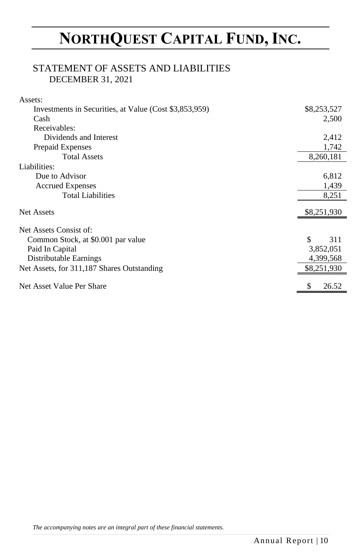## STATEMENT OF ASSETS AND LIABILITIES DECEMBER 31, 2021

| Assets:                                                |             |
|--------------------------------------------------------|-------------|
| Investments in Securities, at Value (Cost \$3,853,959) | \$8,253,527 |
| Cash                                                   | 2,500       |
| Receivables:                                           |             |
| Dividends and Interest                                 | 2,412       |
| Prepaid Expenses                                       | 1,742       |
| <b>Total Assets</b>                                    | 8,260,181   |
| Liabilities:                                           |             |
| Due to Advisor                                         | 6,812       |
| <b>Accrued Expenses</b>                                | 1,439       |
| <b>Total Liabilities</b>                               | 8,251       |
| <b>Net Assets</b>                                      | \$8,251,930 |
| Net Assets Consist of:                                 |             |
| Common Stock, at \$0.001 par value                     | \$<br>311   |
| Paid In Capital                                        | 3,852,051   |
| Distributable Earnings                                 | 4,399,568   |
| Net Assets, for 311,187 Shares Outstanding             | \$8,251,930 |
| Net Asset Value Per Share                              | \$<br>26.52 |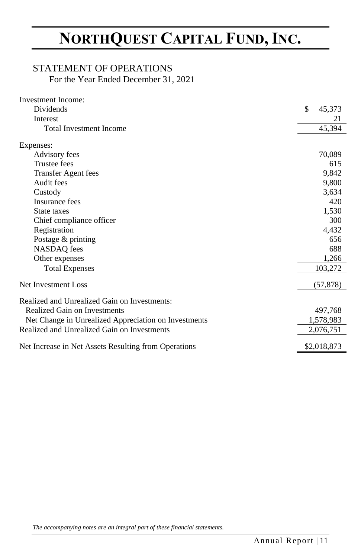## STATEMENT OF OPERATIONS

For the Year Ended December 31, 2021

| Investment Income:                                   |              |
|------------------------------------------------------|--------------|
| <b>Dividends</b>                                     | \$<br>45,373 |
| Interest                                             | 21           |
| <b>Total Investment Income</b>                       | 45,394       |
| Expenses:                                            |              |
| Advisory fees                                        | 70,089       |
| Trustee fees                                         | 615          |
| <b>Transfer Agent fees</b>                           | 9,842        |
| Audit fees                                           | 9,800        |
| Custody                                              | 3,634        |
| Insurance fees                                       | 420          |
| State taxes                                          | 1,530        |
| Chief compliance officer                             | 300          |
| Registration                                         | 4,432        |
| Postage & printing                                   | 656          |
| NASDAQ fees                                          | 688          |
| Other expenses                                       | 1,266        |
| <b>Total Expenses</b>                                | 103,272      |
| Net Investment Loss                                  | (57, 878)    |
| Realized and Unrealized Gain on Investments:         |              |
| Realized Gain on Investments                         | 497,768      |
| Net Change in Unrealized Appreciation on Investments | 1,578,983    |
| Realized and Unrealized Gain on Investments          | 2,076,751    |
| Net Increase in Net Assets Resulting from Operations | \$2,018,873  |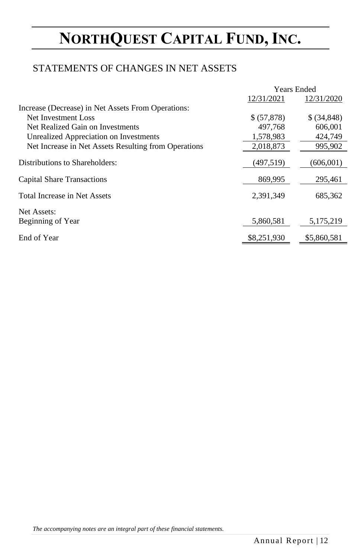## STATEMENTS OF CHANGES IN NET ASSETS

|                                                      | <b>Years Ended</b> |             |  |
|------------------------------------------------------|--------------------|-------------|--|
|                                                      | 12/31/2021         | 12/31/2020  |  |
| Increase (Decrease) in Net Assets From Operations:   |                    |             |  |
| Net Investment Loss                                  | \$ (57,878)        | \$ (34.848) |  |
| Net Realized Gain on Investments                     | 497,768            | 606,001     |  |
| Unrealized Appreciation on Investments               | 1,578,983          | 424,749     |  |
| Net Increase in Net Assets Resulting from Operations | 2,018,873          | 995,902     |  |
| Distributions to Shareholders:                       | (497, 519)         | (606,001)   |  |
| Capital Share Transactions                           | 869,995            | 295,461     |  |
| Total Increase in Net Assets                         | 2.391.349          | 685,362     |  |
| Net Assets:                                          |                    |             |  |
| Beginning of Year                                    | 5,860,581          | 5,175,219   |  |
| End of Year                                          | \$8,251,930        | \$5,860,581 |  |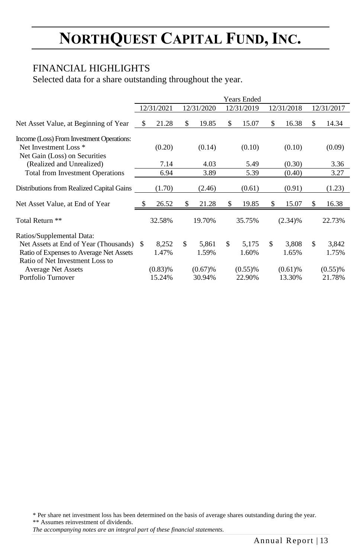## FINANCIAL HIGHLIGHTS

Selected data for a share outstanding throughout the year.

|                                                                                                                                                     |   |                      |     |                      |    | <b>Years Ended</b>   |     |                      |     |                      |
|-----------------------------------------------------------------------------------------------------------------------------------------------------|---|----------------------|-----|----------------------|----|----------------------|-----|----------------------|-----|----------------------|
|                                                                                                                                                     |   | 12/31/2021           |     | 12/31/2020           |    | 12/31/2019           |     | 12/31/2018           |     | 12/31/2017           |
| Net Asset Value, at Beginning of Year                                                                                                               | S | 21.28                | \$  | 19.85                | \$ | 15.07                | \$. | 16.38                | \$. | 14.34                |
| Income (Loss) From Investment Operations:<br>Net Investment Loss <sup>*</sup><br>Net Gain (Loss) on Securities                                      |   | (0.20)               |     | (0.14)               |    | (0.10)               |     | (0.10)               |     | (0.09)               |
| (Realized and Unrealized)                                                                                                                           |   | 7.14                 |     | 4.03                 |    | 5.49                 |     | (0.30)               |     | 3.36                 |
| <b>Total from Investment Operations</b>                                                                                                             |   | 6.94                 |     | 3.89                 |    | 5.39                 |     | (0.40)               |     | 3.27                 |
| Distributions from Realized Capital Gains                                                                                                           |   | (1.70)               |     | (2.46)               |    | (0.61)               |     | (0.91)               |     | (1.23)               |
| Net Asset Value, at End of Year                                                                                                                     |   | 26.52                | \$  | 21.28                | S  | 19.85                | \$. | 15.07                | \$. | 16.38                |
| Total Return **                                                                                                                                     |   | 32.58%               |     | 19.70%               |    | 35.75%               |     | (2.34)%              |     | 22.73%               |
| Ratios/Supplemental Data:<br>Net Assets at End of Year (Thousands) \$<br>Ratio of Expenses to Average Net Assets<br>Ratio of Net Investment Loss to |   | 8,252<br>1.47%       | \$. | 5,861<br>1.59%       | \$ | 5.175<br>1.60%       | \$  | 3.808<br>1.65%       | \$  | 3,842<br>1.75%       |
| <b>Average Net Assets</b><br>Portfolio Turnover                                                                                                     |   | $(0.83)\%$<br>15.24% |     | $(0.67)$ %<br>30.94% |    | $(0.55)$ %<br>22.90% |     | $(0.61)$ %<br>13.30% |     | $(0.55)$ %<br>21.78% |

\* Per share net investment loss has been determined on the basis of average shares outstanding during the year.

\*\* Assumes reinvestment of dividends.

*The accompanying notes are an integral part of these financial statements.*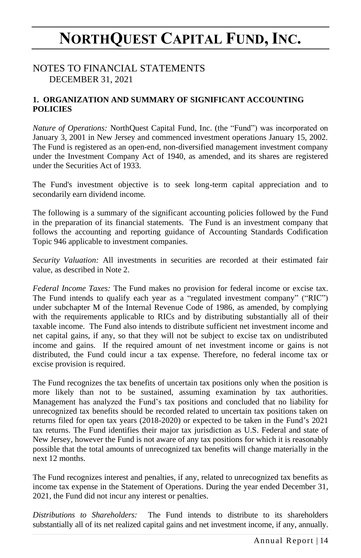### NOTES TO FINANCIAL STATEMENTS DECEMBER 31, 2021

### **1. ORGANIZATION AND SUMMARY OF SIGNIFICANT ACCOUNTING POLICIES**

*Nature of Operations:* NorthQuest Capital Fund, Inc. (the "Fund") was incorporated on January 3, 2001 in New Jersey and commenced investment operations January 15, 2002. The Fund is registered as an open-end, non-diversified management investment company under the Investment Company Act of 1940, as amended, and its shares are registered under the Securities Act of 1933.

The Fund's investment objective is to seek long-term capital appreciation and to secondarily earn dividend income.

The following is a summary of the significant accounting policies followed by the Fund in the preparation of its financial statements. The Fund is an investment company that follows the accounting and reporting guidance of Accounting Standards Codification Topic 946 applicable to investment companies.

*Security Valuation:* All investments in securities are recorded at their estimated fair value, as described in Note 2.

*Federal Income Taxes:* The Fund makes no provision for federal income or excise tax. The Fund intends to qualify each year as a "regulated investment company" ("RIC") under subchapter M of the Internal Revenue Code of 1986, as amended, by complying with the requirements applicable to RICs and by distributing substantially all of their taxable income. The Fund also intends to distribute sufficient net investment income and net capital gains, if any, so that they will not be subject to excise tax on undistributed income and gains. If the required amount of net investment income or gains is not distributed, the Fund could incur a tax expense. Therefore, no federal income tax or excise provision is required.

The Fund recognizes the tax benefits of uncertain tax positions only when the position is more likely than not to be sustained, assuming examination by tax authorities. Management has analyzed the Fund's tax positions and concluded that no liability for unrecognized tax benefits should be recorded related to uncertain tax positions taken on returns filed for open tax years (2018-2020) or expected to be taken in the Fund's 2021 tax returns. The Fund identifies their major tax jurisdiction as U.S. Federal and state of New Jersey, however the Fund is not aware of any tax positions for which it is reasonably possible that the total amounts of unrecognized tax benefits will change materially in the next 12 months.

The Fund recognizes interest and penalties, if any, related to unrecognized tax benefits as income tax expense in the Statement of Operations. During the year ended December 31, 2021, the Fund did not incur any interest or penalties.

*Distributions to Shareholders:* The Fund intends to distribute to its shareholders substantially all of its net realized capital gains and net investment income, if any, annually.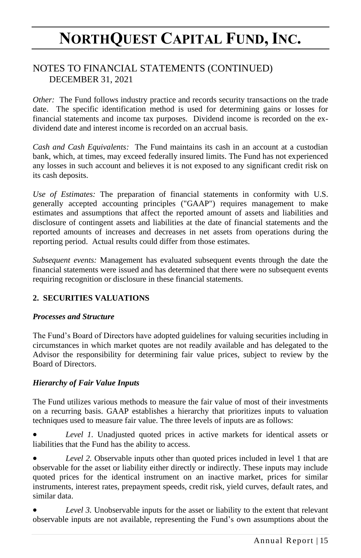## NOTES TO FINANCIAL STATEMENTS (CONTINUED) DECEMBER 31, 2021

*Other:* The Fund follows industry practice and records security transactions on the trade date. The specific identification method is used for determining gains or losses for financial statements and income tax purposes. Dividend income is recorded on the exdividend date and interest income is recorded on an accrual basis.

*Cash and Cash Equivalents:* The Fund maintains its cash in an account at a custodian bank, which, at times, may exceed federally insured limits. The Fund has not experienced any losses in such account and believes it is not exposed to any significant credit risk on its cash deposits.

*Use of Estimates:* The preparation of financial statements in conformity with U.S. generally accepted accounting principles ("GAAP") requires management to make estimates and assumptions that affect the reported amount of assets and liabilities and disclosure of contingent assets and liabilities at the date of financial statements and the reported amounts of increases and decreases in net assets from operations during the reporting period. Actual results could differ from those estimates.

*Subsequent events:* Management has evaluated subsequent events through the date the financial statements were issued and has determined that there were no subsequent events requiring recognition or disclosure in these financial statements.

### **2. SECURITIES VALUATIONS**

#### *Processes and Structure*

The Fund's Board of Directors have adopted guidelines for valuing securities including in circumstances in which market quotes are not readily available and has delegated to the Advisor the responsibility for determining fair value prices, subject to review by the Board of Directors.

### *Hierarchy of Fair Value Inputs*

The Fund utilizes various methods to measure the fair value of most of their investments on a recurring basis. GAAP establishes a hierarchy that prioritizes inputs to valuation techniques used to measure fair value. The three levels of inputs are as follows:

Level 1. Unadjusted quoted prices in active markets for identical assets or liabilities that the Fund has the ability to access.

Level 2. Observable inputs other than quoted prices included in level 1 that are observable for the asset or liability either directly or indirectly. These inputs may include quoted prices for the identical instrument on an inactive market, prices for similar instruments, interest rates, prepayment speeds, credit risk, yield curves, default rates, and similar data.

Level 3. Unobservable inputs for the asset or liability to the extent that relevant observable inputs are not available, representing the Fund's own assumptions about the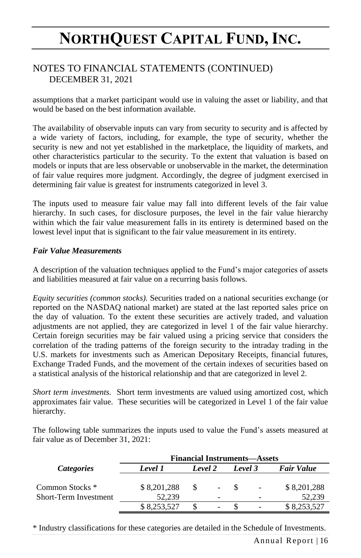## NOTES TO FINANCIAL STATEMENTS (CONTINUED) DECEMBER 31, 2021

assumptions that a market participant would use in valuing the asset or liability, and that would be based on the best information available.

The availability of observable inputs can vary from security to security and is affected by a wide variety of factors, including, for example, the type of security, whether the security is new and not yet established in the marketplace, the liquidity of markets, and other characteristics particular to the security. To the extent that valuation is based on models or inputs that are less observable or unobservable in the market, the determination of fair value requires more judgment. Accordingly, the degree of judgment exercised in determining fair value is greatest for instruments categorized in level 3.

The inputs used to measure fair value may fall into different levels of the fair value hierarchy. In such cases, for disclosure purposes, the level in the fair value hierarchy within which the fair value measurement falls in its entirety is determined based on the lowest level input that is significant to the fair value measurement in its entirety.

#### *Fair Value Measurements*

A description of the valuation techniques applied to the Fund's major categories of assets and liabilities measured at fair value on a recurring basis follows.

*Equity securities (common stocks).* Securities traded on a national securities exchange (or reported on the NASDAQ national market) are stated at the last reported sales price on the day of valuation. To the extent these securities are actively traded, and valuation adjustments are not applied, they are categorized in level 1 of the fair value hierarchy. Certain foreign securities may be fair valued using a pricing service that considers the correlation of the trading patterns of the foreign security to the intraday trading in the U.S. markets for investments such as American Depositary Receipts, financial futures, Exchange Traded Funds, and the movement of the certain indexes of securities based on a statistical analysis of the historical relationship and that are categorized in level 2.

*Short term investments.* Short term investments are valued using amortized cost, which approximates fair value. These securities will be categorized in Level 1 of the fair value hierarchy.

The following table summarizes the inputs used to value the Fund's assets measured at fair value as of December 31, 2021:

|                              |             |         |                          |         | <b>Financial Instruments—Assets</b> |                   |  |
|------------------------------|-------------|---------|--------------------------|---------|-------------------------------------|-------------------|--|
| <i>Categories</i>            | Level 1     | Level 2 |                          | Level 3 |                                     | <b>Fair Value</b> |  |
| Common Stocks <sup>*</sup>   | \$8,201,288 |         |                          | -85     |                                     | \$8,201,288       |  |
| <b>Short-Term Investment</b> | 52.239      |         | $\overline{\phantom{a}}$ |         |                                     | 52.239            |  |
|                              | \$8,253,527 |         | -                        |         |                                     | \$8,253,527       |  |

\* Industry classifications for these categories are detailed in the Schedule of Investments.

Annual Report | 16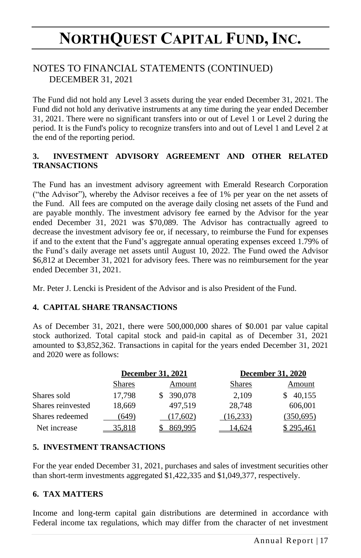## NOTES TO FINANCIAL STATEMENTS (CONTINUED) DECEMBER 31, 2021

The Fund did not hold any Level 3 assets during the year ended December 31, 2021. The Fund did not hold any derivative instruments at any time during the year ended December 31, 2021. There were no significant transfers into or out of Level 1 or Level 2 during the period. It is the Fund's policy to recognize transfers into and out of Level 1 and Level 2 at the end of the reporting period.

### **3. INVESTMENT ADVISORY AGREEMENT AND OTHER RELATED TRANSACTIONS**

The Fund has an investment advisory agreement with Emerald Research Corporation ("the Advisor"), whereby the Advisor receives a fee of 1% per year on the net assets of the Fund. All fees are computed on the average daily closing net assets of the Fund and are payable monthly. The investment advisory fee earned by the Advisor for the year ended December 31, 2021 was \$70,089. The Advisor has contractually agreed to decrease the investment advisory fee or, if necessary, to reimburse the Fund for expenses if and to the extent that the Fund's aggregate annual operating expenses exceed 1.79% of the Fund's daily average net assets until August 10, 2022. The Fund owed the Advisor \$6,812 at December 31, 2021 for advisory fees. There was no reimbursement for the year ended December 31, 2021.

Mr. Peter J. Lencki is President of the Advisor and is also President of the Fund.

#### **4. CAPITAL SHARE TRANSACTIONS**

As of December 31, 2021, there were 500,000,000 shares of \$0.001 par value capital stock authorized. Total capital stock and paid-in capital as of December 31, 2021 amounted to \$3,852,362. Transactions in capital for the years ended December 31, 2021 and 2020 were as follows:

|                   |               | December 31, 2021 |               | December 31, 2020 |
|-------------------|---------------|-------------------|---------------|-------------------|
|                   | <b>Shares</b> | Amount            | <b>Shares</b> | Amount            |
| Shares sold       | 17,798        | 390,078           | 2.109         | 40,155            |
| Shares reinvested | 18,669        | 497,519           | 28,748        | 606,001           |
| Shares redeemed   | (649)         | 17,602)           | (16, 233)     | (350,695)         |
| Net increase      | 35,818        | 869.995           | 4.624         | 295,461           |

#### **5. INVESTMENT TRANSACTIONS**

For the year ended December 31, 2021, purchases and sales of investment securities other than short-term investments aggregated \$1,422,335 and \$1,049,377, respectively.

### **6. TAX MATTERS**

Income and long-term capital gain distributions are determined in accordance with Federal income tax regulations, which may differ from the character of net investment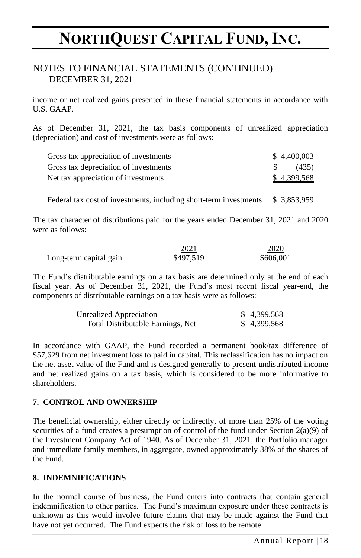## NOTES TO FINANCIAL STATEMENTS (CONTINUED) DECEMBER 31, 2021

income or net realized gains presented in these financial statements in accordance with U.S. GAAP.

As of December 31, 2021, the tax basis components of unrealized appreciation (depreciation) and cost of investments were as follows:

| Gross tax appreciation of investments |  | \$4,400,003 |
|---------------------------------------|--|-------------|
| Gross tax depreciation of investments |  | (435)       |
| Net tax appreciation of investments   |  | \$4,399,568 |

Federal tax cost of investments, including short-term investments \$ 3,853,959

The tax character of distributions paid for the years ended December 31, 2021 and 2020 were as follows:

|                        | 2021      | 2020      |
|------------------------|-----------|-----------|
| Long-term capital gain | \$497,519 | \$606,001 |

The Fund's distributable earnings on a tax basis are determined only at the end of each fiscal year. As of December 31, 2021, the Fund's most recent fiscal year-end, the components of distributable earnings on a tax basis were as follows:

| Unrealized Appreciation           | \$4,399,568 |
|-----------------------------------|-------------|
| Total Distributable Earnings, Net | \$4,399,568 |

In accordance with GAAP, the Fund recorded a permanent book/tax difference of \$57,629 from net investment loss to paid in capital. This reclassification has no impact on the net asset value of the Fund and is designed generally to present undistributed income and net realized gains on a tax basis, which is considered to be more informative to shareholders.

### **7. CONTROL AND OWNERSHIP**

The beneficial ownership, either directly or indirectly, of more than 25% of the voting securities of a fund creates a presumption of control of the fund under Section  $2(a)(9)$  of the Investment Company Act of 1940. As of December 31, 2021, the Portfolio manager and immediate family members, in aggregate, owned approximately 38% of the shares of the Fund.

### **8. INDEMNIFICATIONS**

In the normal course of business, the Fund enters into contracts that contain general indemnification to other parties. The Fund's maximum exposure under these contracts is unknown as this would involve future claims that may be made against the Fund that have not yet occurred. The Fund expects the risk of loss to be remote.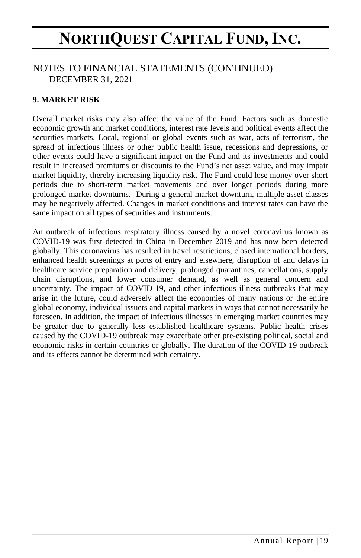## NOTES TO FINANCIAL STATEMENTS (CONTINUED) DECEMBER 31, 2021

### **9. MARKET RISK**

Overall market risks may also affect the value of the Fund. Factors such as domestic economic growth and market conditions, interest rate levels and political events affect the securities markets. Local, regional or global events such as war, acts of terrorism, the spread of infectious illness or other public health issue, recessions and depressions, or other events could have a significant impact on the Fund and its investments and could result in increased premiums or discounts to the Fund's net asset value, and may impair market liquidity, thereby increasing liquidity risk. The Fund could lose money over short periods due to short-term market movements and over longer periods during more prolonged market downturns. During a general market downturn, multiple asset classes may be negatively affected. Changes in market conditions and interest rates can have the same impact on all types of securities and instruments.

An outbreak of infectious respiratory illness caused by a novel coronavirus known as COVID-19 was first detected in China in December 2019 and has now been detected globally. This coronavirus has resulted in travel restrictions, closed international borders, enhanced health screenings at ports of entry and elsewhere, disruption of and delays in healthcare service preparation and delivery, prolonged quarantines, cancellations, supply chain disruptions, and lower consumer demand, as well as general concern and uncertainty. The impact of COVID-19, and other infectious illness outbreaks that may arise in the future, could adversely affect the economies of many nations or the entire global economy, individual issuers and capital markets in ways that cannot necessarily be foreseen. In addition, the impact of infectious illnesses in emerging market countries may be greater due to generally less established healthcare systems. Public health crises caused by the COVID-19 outbreak may exacerbate other pre-existing political, social and economic risks in certain countries or globally. The duration of the COVID-19 outbreak and its effects cannot be determined with certainty.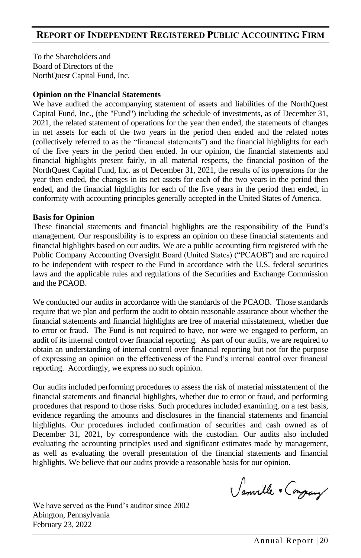## **REPORT OF INDEPENDENT REGISTERED PUBLIC ACCOUNTING FIRM**

To the Shareholders and Board of Directors of the NorthQuest Capital Fund, Inc.

#### **Opinion on the Financial Statements**

We have audited the accompanying statement of assets and liabilities of the NorthQuest Capital Fund, Inc., (the "Fund") including the schedule of investments, as of December 31, 2021, the related statement of operations for the year then ended, the statements of changes in net assets for each of the two years in the period then ended and the related notes (collectively referred to as the "financial statements") and the financial highlights for each of the five years in the period then ended. In our opinion, the financial statements and financial highlights present fairly, in all material respects, the financial position of the NorthQuest Capital Fund, Inc. as of December 31, 2021, the results of its operations for the year then ended, the changes in its net assets for each of the two years in the period then ended, and the financial highlights for each of the five years in the period then ended, in conformity with accounting principles generally accepted in the United States of America.

#### **Basis for Opinion**

These financial statements and financial highlights are the responsibility of the Fund's management. Our responsibility is to express an opinion on these financial statements and financial highlights based on our audits. We are a public accounting firm registered with the Public Company Accounting Oversight Board (United States) ("PCAOB") and are required to be independent with respect to the Fund in accordance with the U.S. federal securities laws and the applicable rules and regulations of the Securities and Exchange Commission and the PCAOB.

We conducted our audits in accordance with the standards of the PCAOB. Those standards require that we plan and perform the audit to obtain reasonable assurance about whether the financial statements and financial highlights are free of material misstatement, whether due to error or fraud. The Fund is not required to have, nor were we engaged to perform, an audit of its internal control over financial reporting. As part of our audits, we are required to obtain an understanding of internal control over financial reporting but not for the purpose of expressing an opinion on the effectiveness of the Fund's internal control over financial reporting. Accordingly, we express no such opinion.

Our audits included performing procedures to assess the risk of material misstatement of the financial statements and financial highlights, whether due to error or fraud, and performing procedures that respond to those risks. Such procedures included examining, on a test basis, evidence regarding the amounts and disclosures in the financial statements and financial highlights. Our procedures included confirmation of securities and cash owned as of December 31, 2021, by correspondence with the custodian. Our audits also included evaluating the accounting principles used and significant estimates made by management, as well as evaluating the overall presentation of the financial statements and financial highlights. We believe that our audits provide a reasonable basis for our opinion.

Sanville + Congrany

We have served as the Fund's auditor since 2002 Abington, Pennsylvania February 23, 2022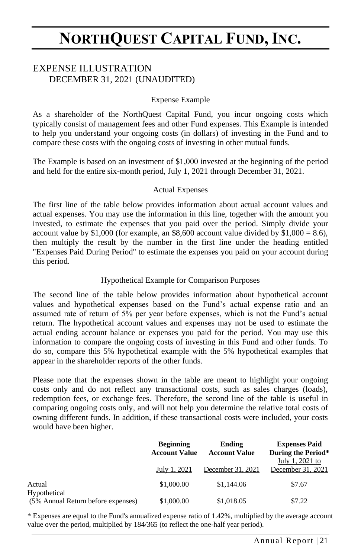## EXPENSE ILLUSTRATION DECEMBER 31, 2021 (UNAUDITED)

### Expense Example

As a shareholder of the NorthQuest Capital Fund, you incur ongoing costs which typically consist of management fees and other Fund expenses. This Example is intended to help you understand your ongoing costs (in dollars) of investing in the Fund and to compare these costs with the ongoing costs of investing in other mutual funds.

The Example is based on an investment of \$1,000 invested at the beginning of the period and held for the entire six-month period, July 1, 2021 through December 31, 2021.

#### Actual Expenses

The first line of the table below provides information about actual account values and actual expenses. You may use the information in this line, together with the amount you invested, to estimate the expenses that you paid over the period. Simply divide your account value by \$1,000 (for example, an \$8,600 account value divided by \$1,000 = 8.6), then multiply the result by the number in the first line under the heading entitled "Expenses Paid During Period" to estimate the expenses you paid on your account during this period.

#### Hypothetical Example for Comparison Purposes

The second line of the table below provides information about hypothetical account values and hypothetical expenses based on the Fund's actual expense ratio and an assumed rate of return of 5% per year before expenses, which is not the Fund's actual return. The hypothetical account values and expenses may not be used to estimate the actual ending account balance or expenses you paid for the period. You may use this information to compare the ongoing costs of investing in this Fund and other funds. To do so, compare this 5% hypothetical example with the 5% hypothetical examples that appear in the shareholder reports of the other funds.

Please note that the expenses shown in the table are meant to highlight your ongoing costs only and do not reflect any transactional costs, such as sales charges (loads), redemption fees, or exchange fees. Therefore, the second line of the table is useful in comparing ongoing costs only, and will not help you determine the relative total costs of owning different funds. In addition, if these transactional costs were included, your costs would have been higher.

|                                    | <b>Beginning</b><br><b>Account Value</b> | Ending<br><b>Account Value</b> | <b>Expenses Paid</b><br>During the Period* |
|------------------------------------|------------------------------------------|--------------------------------|--------------------------------------------|
|                                    | July 1, 2021                             | December 31, 2021              | July 1, 2021 to<br>December 31, 2021       |
| Actual<br>Hypothetical             | \$1,000.00                               | \$1,144.06                     | \$7.67                                     |
| (5% Annual Return before expenses) | \$1,000.00                               | \$1,018.05                     | \$7.22                                     |

\* Expenses are equal to the Fund's annualized expense ratio of 1.42%, multiplied by the average account value over the period, multiplied by 184/365 (to reflect the one-half year period).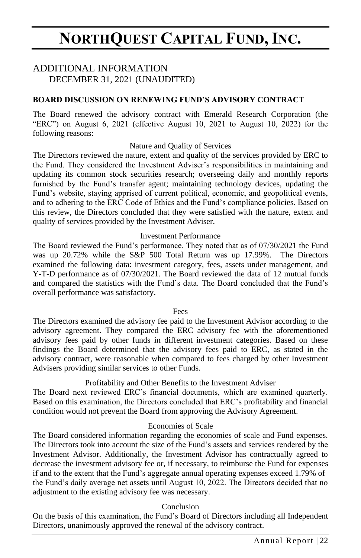### ADDITIONAL INFORMATION DECEMBER 31, 2021 (UNAUDITED)

### **BOARD DISCUSSION ON RENEWING FUND'S ADVISORY CONTRACT**

The Board renewed the advisory contract with Emerald Research Corporation (the "ERC") on August 6, 2021 (effective August 10, 2021 to August 10, 2022) for the following reasons:

#### Nature and Quality of Services

The Directors reviewed the nature, extent and quality of the services provided by ERC to the Fund. They considered the Investment Adviser's responsibilities in maintaining and updating its common stock securities research; overseeing daily and monthly reports furnished by the Fund's transfer agent; maintaining technology devices, updating the Fund's website, staying apprised of current political, economic, and geopolitical events, and to adhering to the ERC Code of Ethics and the Fund's compliance policies. Based on this review, the Directors concluded that they were satisfied with the nature, extent and quality of services provided by the Investment Adviser.

#### Investment Performance

The Board reviewed the Fund's performance. They noted that as of 07/30/2021 the Fund was up 20.72% while the S&P 500 Total Return was up 17.99%. The Directors examined the following data: investment category, fees, assets under management, and Y-T-D performance as of 07/30/2021. The Board reviewed the data of 12 mutual funds and compared the statistics with the Fund's data. The Board concluded that the Fund's overall performance was satisfactory.

#### Fees

The Directors examined the advisory fee paid to the Investment Advisor according to the advisory agreement. They compared the ERC advisory fee with the aforementioned advisory fees paid by other funds in different investment categories. Based on these findings the Board determined that the advisory fees paid to ERC, as stated in the advisory contract, were reasonable when compared to fees charged by other Investment Advisers providing similar services to other Funds.

#### Profitability and Other Benefits to the Investment Adviser

The Board next reviewed ERC's financial documents, which are examined quarterly. Based on this examination, the Directors concluded that ERC's profitability and financial condition would not prevent the Board from approving the Advisory Agreement.

#### Economies of Scale

The Board considered information regarding the economies of scale and Fund expenses. The Directors took into account the size of the Fund's assets and services rendered by the Investment Advisor. Additionally, the Investment Advisor has contractually agreed to decrease the investment advisory fee or, if necessary, to reimburse the Fund for expenses if and to the extent that the Fund's aggregate annual operating expenses exceed 1.79% of the Fund's daily average net assets until August 10, 2022. The Directors decided that no adjustment to the existing advisory fee was necessary.

#### Conclusion

On the basis of this examination, the Fund's Board of Directors including all Independent Directors, unanimously approved the renewal of the advisory contract.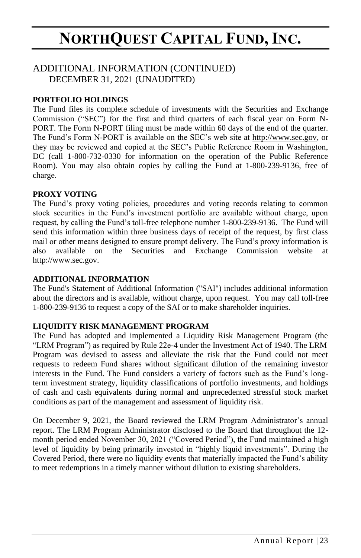## ADDITIONAL INFORMATION (CONTINUED) DECEMBER 31, 2021 (UNAUDITED)

### **PORTFOLIO HOLDINGS**

The Fund files its complete schedule of investments with the Securities and Exchange Commission ("SEC") for the first and third quarters of each fiscal year on Form N-PORT. The Form N-PORT filing must be made within 60 days of the end of the quarter. The Fund's Form N-PORT is available on the SEC's web site at http://www.sec.gov, or they may be reviewed and copied at the SEC's Public Reference Room in Washington, DC (call 1-800-732-0330 for information on the operation of the Public Reference Room). You may also obtain copies by calling the Fund at 1-800-239-9136, free of charge.

#### **PROXY VOTING**

The Fund's proxy voting policies, procedures and voting records relating to common stock securities in the Fund's investment portfolio are available without charge, upon request, by calling the Fund's toll-free telephone number 1-800-239-9136. The Fund will send this information within three business days of receipt of the request, by first class mail or other means designed to ensure prompt delivery. The Fund's proxy information is also available on the Securities and Exchange Commission website at http://www.sec.gov.

#### **ADDITIONAL INFORMATION**

The Fund's Statement of Additional Information ("SAI") includes additional information about the directors and is available, without charge, upon request. You may call toll-free 1-800-239-9136 to request a copy of the SAI or to make shareholder inquiries.

### **LIQUIDITY RISK MANAGEMENT PROGRAM**

The Fund has adopted and implemented a Liquidity Risk Management Program (the "LRM Program") as required by Rule 22e-4 under the Investment Act of 1940. The LRM Program was devised to assess and alleviate the risk that the Fund could not meet requests to redeem Fund shares without significant dilution of the remaining investor interests in the Fund. The Fund considers a variety of factors such as the Fund's longterm investment strategy, liquidity classifications of portfolio investments, and holdings of cash and cash equivalents during normal and unprecedented stressful stock market conditions as part of the management and assessment of liquidity risk.

On December 9, 2021, the Board reviewed the LRM Program Administrator's annual report. The LRM Program Administrator disclosed to the Board that throughout the 12 month period ended November 30, 2021 ("Covered Period"), the Fund maintained a high level of liquidity by being primarily invested in "highly liquid investments". During the Covered Period, there were no liquidity events that materially impacted the Fund's ability to meet redemptions in a timely manner without dilution to existing shareholders.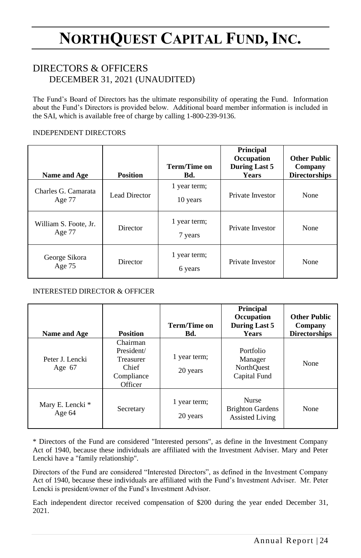## DIRECTORS & OFFICERS DECEMBER 31, 2021 (UNAUDITED)

The Fund's Board of Directors has the ultimate responsibility of operating the Fund. Information about the Fund's Directors is provided below. Additional board member information is included in the SAI, which is available free of charge by calling 1-800-239-9136.

#### INDEPENDENT DIRECTORS

| Name and Age                      | <b>Position</b> | Term/Time on<br>Bd.      | Principal<br>Occupation<br>During Last 5<br><b>Years</b> | <b>Other Public</b><br>Company<br><b>Directorships</b> |
|-----------------------------------|-----------------|--------------------------|----------------------------------------------------------|--------------------------------------------------------|
| Charles G. Camarata<br>Age $77$   | Lead Director   | 1 year term;<br>10 years | Private Investor                                         | None                                                   |
| William S. Foote, Jr.<br>Age $77$ | Director        | 1 year term;<br>7 years  | Private Investor                                         | None                                                   |
| George Sikora<br>Age 75           | Director        | 1 year term;<br>6 years  | Private Investor                                         | None                                                   |

#### INTERESTED DIRECTOR & OFFICER

| Name and Age                | <b>Position</b>                                                       | Term/Time on<br>Bd.      | <b>Principal</b><br>Occupation<br>During Last 5<br><b>Years</b>   | <b>Other Public</b><br>Company<br><b>Directorships</b> |
|-----------------------------|-----------------------------------------------------------------------|--------------------------|-------------------------------------------------------------------|--------------------------------------------------------|
| Peter J. Lencki<br>Age $67$ | Chairman<br>President/<br>Treasurer<br>Chief<br>Compliance<br>Officer | 1 year term;<br>20 years | Portfolio<br>Manager<br><b>NorthQuest</b><br>Capital Fund         | None                                                   |
| Mary E. Lencki *<br>Age 64  | Secretary                                                             | 1 year term;<br>20 years | <b>Nurse</b><br><b>Brighton Gardens</b><br><b>Assisted Living</b> | None                                                   |

\* Directors of the Fund are considered "Interested persons", as define in the Investment Company Act of 1940, because these individuals are affiliated with the Investment Adviser. Mary and Peter Lencki have a "family relationship".

Directors of the Fund are considered "Interested Directors", as defined in the Investment Company Act of 1940, because these individuals are affiliated with the Fund's Investment Adviser. Mr. Peter Lencki is president/owner of the Fund's Investment Advisor.

Each independent director received compensation of \$200 during the year ended December 31, 2021.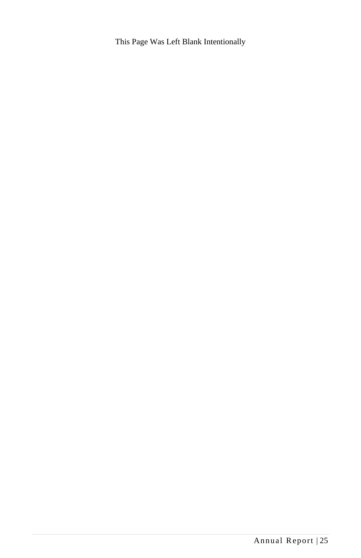This Page Was Left Blank Intentionally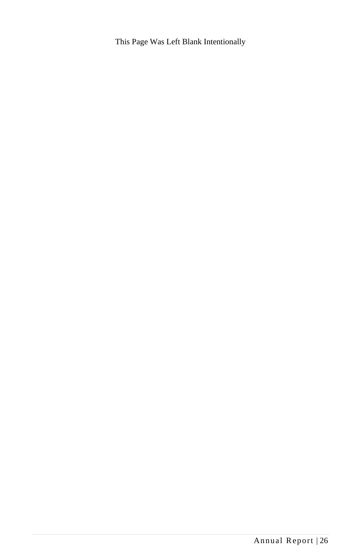This Page Was Left Blank Intentionally